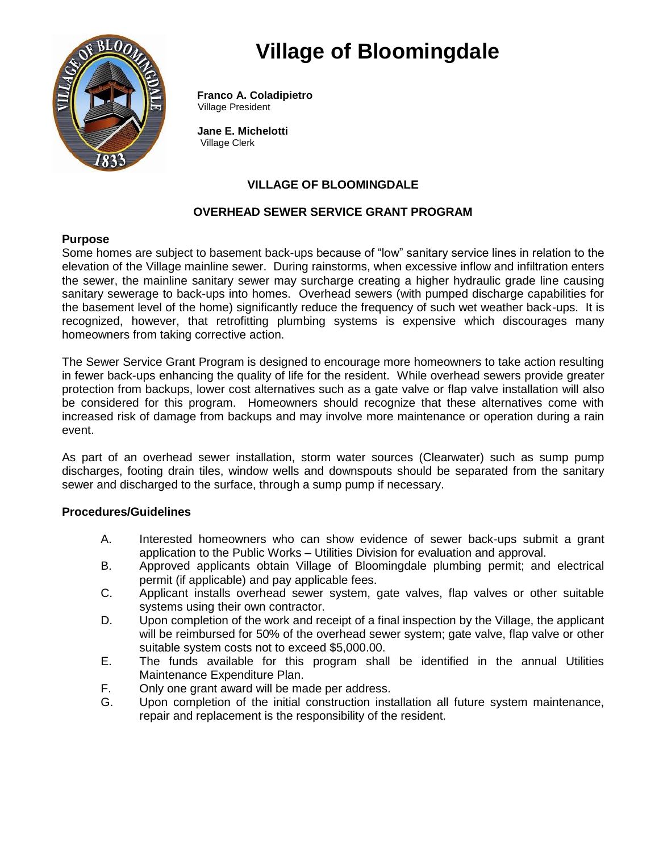# **Village of Bloomingdale**



 **Franco A. Coladipietro** Village President

 **Jane E. Michelotti** Village Clerk

# **VILLAGE OF BLOOMINGDALE**

## **OVERHEAD SEWER SERVICE GRANT PROGRAM**

## **Purpose**

Some homes are subject to basement back-ups because of "low" sanitary service lines in relation to the elevation of the Village mainline sewer. During rainstorms, when excessive inflow and infiltration enters the sewer, the mainline sanitary sewer may surcharge creating a higher hydraulic grade line causing sanitary sewerage to back-ups into homes. Overhead sewers (with pumped discharge capabilities for the basement level of the home) significantly reduce the frequency of such wet weather back-ups. It is recognized, however, that retrofitting plumbing systems is expensive which discourages many homeowners from taking corrective action.

The Sewer Service Grant Program is designed to encourage more homeowners to take action resulting in fewer back-ups enhancing the quality of life for the resident. While overhead sewers provide greater protection from backups, lower cost alternatives such as a gate valve or flap valve installation will also be considered for this program. Homeowners should recognize that these alternatives come with increased risk of damage from backups and may involve more maintenance or operation during a rain event.

As part of an overhead sewer installation, storm water sources (Clearwater) such as sump pump discharges, footing drain tiles, window wells and downspouts should be separated from the sanitary sewer and discharged to the surface, through a sump pump if necessary.

## **Procedures/Guidelines**

- A. Interested homeowners who can show evidence of sewer back-ups submit a grant application to the Public Works – Utilities Division for evaluation and approval.
- B. Approved applicants obtain Village of Bloomingdale plumbing permit; and electrical permit (if applicable) and pay applicable fees.
- C. Applicant installs overhead sewer system, gate valves, flap valves or other suitable systems using their own contractor.
- D. Upon completion of the work and receipt of a final inspection by the Village, the applicant will be reimbursed for 50% of the overhead sewer system; gate valve, flap valve or other suitable system costs not to exceed \$5,000.00.
- E. The funds available for this program shall be identified in the annual Utilities Maintenance Expenditure Plan.
- F. Only one grant award will be made per address.
- G. Upon completion of the initial construction installation all future system maintenance, repair and replacement is the responsibility of the resident.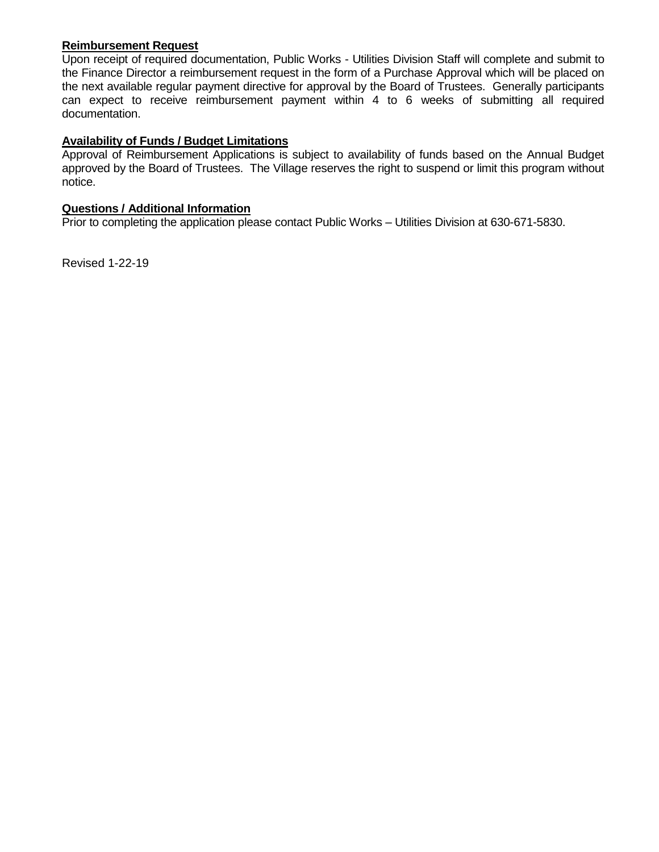#### **Reimbursement Request**

Upon receipt of required documentation, Public Works - Utilities Division Staff will complete and submit to the Finance Director a reimbursement request in the form of a Purchase Approval which will be placed on the next available regular payment directive for approval by the Board of Trustees. Generally participants can expect to receive reimbursement payment within 4 to 6 weeks of submitting all required documentation.

# **Availability of Funds / Budget Limitations**

Approval of Reimbursement Applications is subject to availability of funds based on the Annual Budget approved by the Board of Trustees. The Village reserves the right to suspend or limit this program without notice.

## **Questions / Additional Information**

Prior to completing the application please contact Public Works – Utilities Division at 630-671-5830.

Revised 1-22-19